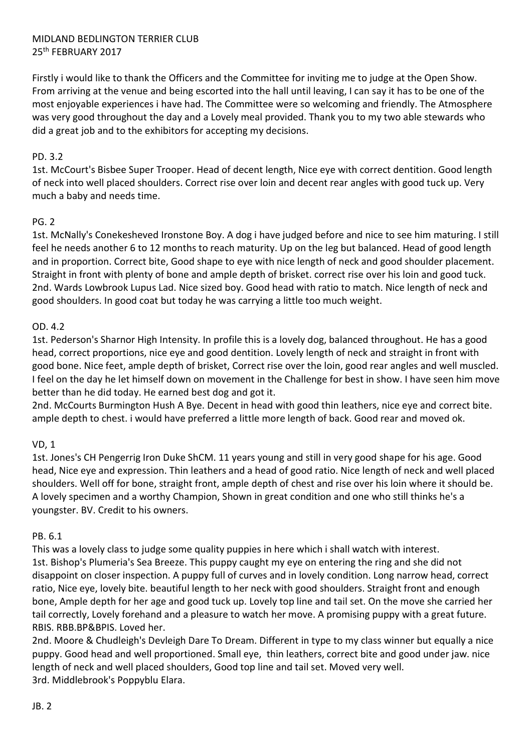# MIDLAND BEDLINGTON TERRIER CLUB 25th FEBRUARY 2017

Firstly i would like to thank the Officers and the Committee for inviting me to judge at the Open Show. From arriving at the venue and being escorted into the hall until leaving, I can say it has to be one of the most enjoyable experiences i have had. The Committee were so welcoming and friendly. The Atmosphere was very good throughout the day and a Lovely meal provided. Thank you to my two able stewards who did a great job and to the exhibitors for accepting my decisions.

## PD. 3.2

1st. McCourt's Bisbee Super Trooper. Head of decent length, Nice eye with correct dentition. Good length of neck into well placed shoulders. Correct rise over loin and decent rear angles with good tuck up. Very much a baby and needs time.

# PG. 2

1st. McNally's Conekesheved Ironstone Boy. A dog i have judged before and nice to see him maturing. I still feel he needs another 6 to 12 months to reach maturity. Up on the leg but balanced. Head of good length and in proportion. Correct bite, Good shape to eye with nice length of neck and good shoulder placement. Straight in front with plenty of bone and ample depth of brisket. correct rise over his loin and good tuck. 2nd. Wards Lowbrook Lupus Lad. Nice sized boy. Good head with ratio to match. Nice length of neck and good shoulders. In good coat but today he was carrying a little too much weight.

### OD. 4.2

1st. Pederson's Sharnor High Intensity. In profile this is a lovely dog, balanced throughout. He has a good head, correct proportions, nice eye and good dentition. Lovely length of neck and straight in front with good bone. Nice feet, ample depth of brisket, Correct rise over the loin, good rear angles and well muscled. I feel on the day he let himself down on movement in the Challenge for best in show. I have seen him move better than he did today. He earned best dog and got it.

2nd. McCourts Burmington Hush A Bye. Decent in head with good thin leathers, nice eye and correct bite. ample depth to chest. i would have preferred a little more length of back. Good rear and moved ok.

# VD, 1

1st. Jones's CH Pengerrig Iron Duke ShCM. 11 years young and still in very good shape for his age. Good head, Nice eye and expression. Thin leathers and a head of good ratio. Nice length of neck and well placed shoulders. Well off for bone, straight front, ample depth of chest and rise over his loin where it should be. A lovely specimen and a worthy Champion, Shown in great condition and one who still thinks he's a youngster. BV. Credit to his owners.

### PB. 6.1

This was a lovely class to judge some quality puppies in here which i shall watch with interest. 1st. Bishop's Plumeria's Sea Breeze. This puppy caught my eye on entering the ring and she did not disappoint on closer inspection. A puppy full of curves and in lovely condition. Long narrow head, correct ratio, Nice eye, lovely bite. beautiful length to her neck with good shoulders. Straight front and enough bone, Ample depth for her age and good tuck up. Lovely top line and tail set. On the move she carried her tail correctly, Lovely forehand and a pleasure to watch her move. A promising puppy with a great future. RBIS. RBB.BP&BPIS. Loved her.

2nd. Moore & Chudleigh's Devleigh Dare To Dream. Different in type to my class winner but equally a nice puppy. Good head and well proportioned. Small eye, thin leathers, correct bite and good under jaw. nice length of neck and well placed shoulders, Good top line and tail set. Moved very well. 3rd. Middlebrook's Poppyblu Elara.